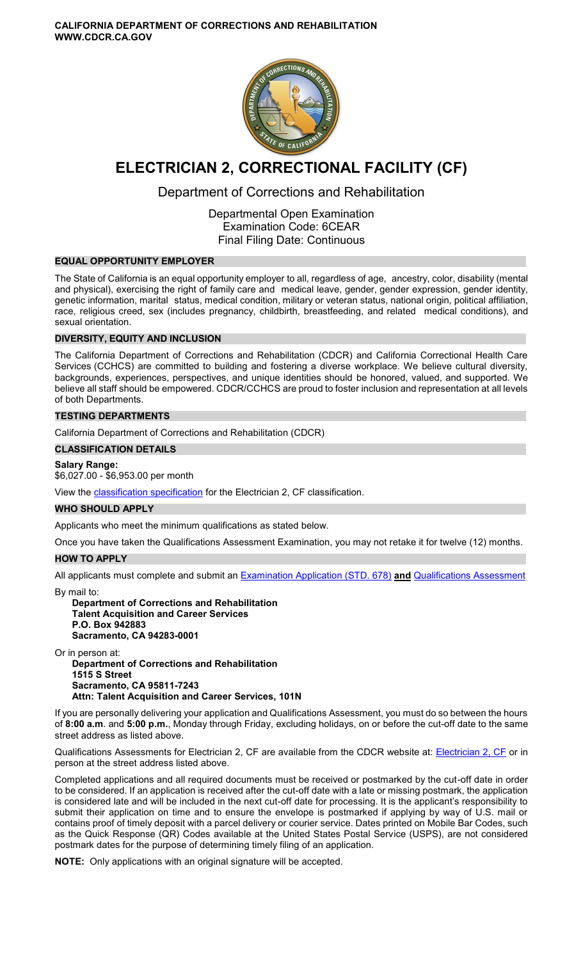

# **ELECTRICIAN 2, CORRECTIONAL FACILITY (CF)**

# Department of Corrections and Rehabilitation

Departmental Open Examination Examination Code: 6CEAR Final Filing Date: Continuous

### **EQUAL OPPORTUNITY EMPLOYER**

The State of California is an equal opportunity employer to all, regardless of age, ancestry, color, disability (mental and physical), exercising the right of family care and medical leave, gender, gender expression, gender identity, genetic information, marital status, medical condition, military or veteran status, national origin, political affiliation, race, religious creed, sex (includes pregnancy, childbirth, breastfeeding, and related medical conditions), and sexual orientation.

# **DIVERSITY, EQUITY AND INCLUSION**

The California Department of Corrections and Rehabilitation (CDCR) and California Correctional Health Care Services (CCHCS) are committed to building and fostering a diverse workplace. We believe cultural diversity, backgrounds, experiences, perspectives, and unique identities should be honored, valued, and supported. We believe all staff should be empowered. CDCR/CCHCS are proud to foster inclusion and representation at all levels of both Departments.

### **TESTING DEPARTMENTS**

California Department of Corrections and Rehabilitation (CDCR)

#### **CLASSIFICATION DETAILS**

**Salary Range:** 

#### \$6,027.00 - \$6,953.00 per month

View the [classification specification](http://www.calhr.ca.gov/state-hr-professionals/pages/6534.aspx) for the Electrician 2, CF classification.

### **WHO SHOULD APPLY**

Applicants who meet the minimum qualifications as stated below.

Once you have taken the Qualifications Assessment Examination, you may not retake it for twelve (12) months.

### **HOW TO APPLY**

All applicants must complete and submit an [Examination Application \(STD. 678\)](https://jobs.ca.gov/pdf/STD678.pdf) **and** [Qualifications Assessment](https://www.cdcr.ca.gov/careers/wp-content/uploads/sites/164/2021/04/Electrician2CFQA-O-C.pdf) 

By mail to:

**Department of Corrections and Rehabilitation Talent Acquisition and Career Services P.O. Box 942883 Sacramento, CA 94283-0001** 

Or in person at: **Department of Corrections and Rehabilitation 1515 S Street Sacramento, CA 95811-7243 Attn: Talent Acquisition and Career Services, 101N** 

If you are personally delivering your application and Qualifications Assessment, you must do so between the hours of **8:00 a.m**. and **5:00 p.m.**, Monday through Friday, excluding holidays, on or before the cut-off date to the same street address as listed above.

Qualifications Assessments for [Electrician 2, CF](https://www.cdcr.ca.gov/careers/wp-content/uploads/sites/164/2021/04/Electrician2CFQA-O-C.pdf) are available from the CDCR website at: Electrician 2, CF or in person at the street address listed above.

Completed applications and all required documents must be received or postmarked by the cut-off date in order to be considered. If an application is received after the cut-off date with a late or missing postmark, the application is considered late and will be included in the next cut-off date for processing. It is the applicant's responsibility to submit their application on time and to ensure the envelope is postmarked if applying by way of U.S. mail or contains proof of timely deposit with a parcel delivery or courier service. Dates printed on Mobile Bar Codes, such as the Quick Response (QR) Codes available at the United States Postal Service (USPS), are not considered postmark dates for the purpose of determining timely filing of an application.

**NOTE:** Only applications with an original signature will be accepted.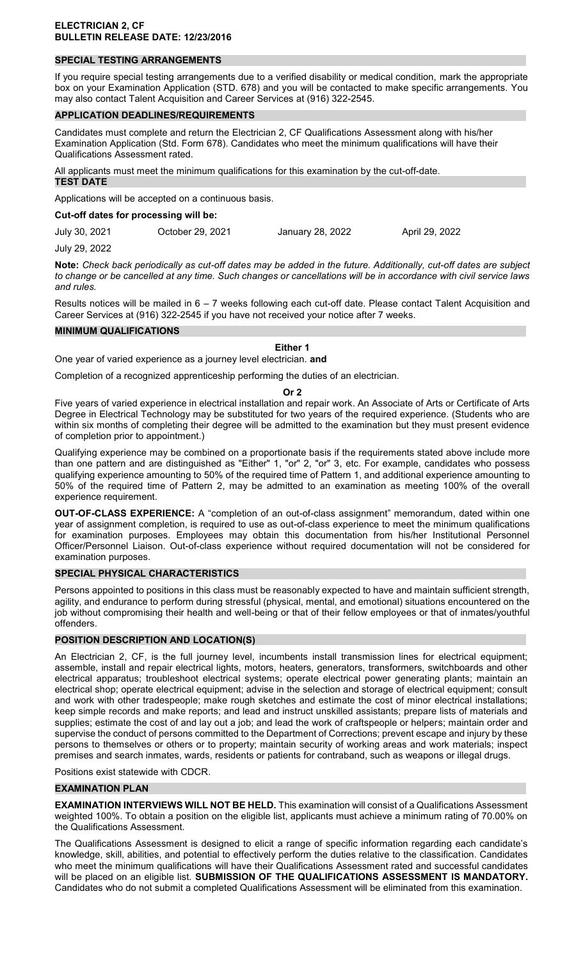### **SPECIAL TESTING ARRANGEMENTS**

If you require special testing arrangements due to a verified disability or medical condition, mark the appropriate box on your Examination Application (STD. 678) and you will be contacted to make specific arrangements. You may also contact Talent Acquisition and Career Services at (916) 322-2545.

#### **APPLICATION DEADLINES/REQUIREMENTS**

Candidates must complete and return the Electrician 2, CF Qualifications Assessment along with his/her Examination Application (Std. Form 678). Candidates who meet the minimum qualifications will have their Qualifications Assessment rated.

All applicants must meet the minimum qualifications for this examination by the cut-off-date. **TEST DATE** 

Applications will be accepted on a continuous basis.

**Cut-off dates for processing will be:** 

July 30, 2021 October 29, 2021 January 28, 2022 April 29, 2022

July 29, 2022

**Note:** *Check back periodically as cut-off dates may be added in the future. Additionally, cut-off dates are subject to change or be cancelled at any time. Such changes or cancellations will be in accordance with civil service laws and rules.* 

Results notices will be mailed in 6 – 7 weeks following each cut-off date. Please contact Talent Acquisition and Career Services at (916) 322-2545 if you have not received your notice after 7 weeks.

#### **MINIMUM QUALIFICATIONS**

**Either 1** 

One year of varied experience as a journey level electrician. **and** 

Completion of a recognized apprenticeship performing the duties of an electrician.

#### **Or 2**

Five years of varied experience in electrical installation and repair work. An Associate of Arts or Certificate of Arts Degree in Electrical Technology may be substituted for two years of the required experience. (Students who are within six months of completing their degree will be admitted to the examination but they must present evidence of completion prior to appointment.)

Qualifying experience may be combined on a proportionate basis if the requirements stated above include more than one pattern and are distinguished as "Either" 1, "or" 2, "or" 3, etc. For example, candidates who possess qualifying experience amounting to 50% of the required time of Pattern 1, and additional experience amounting to 50% of the required time of Pattern 2, may be admitted to an examination as meeting 100% of the overall experience requirement.

**OUT-OF-CLASS EXPERIENCE:** A "completion of an out-of-class assignment" memorandum, dated within one year of assignment completion, is required to use as out-of-class experience to meet the minimum qualifications for examination purposes. Employees may obtain this documentation from his/her Institutional Personnel Officer/Personnel Liaison. Out-of-class experience without required documentation will not be considered for examination purposes.

#### **SPECIAL PHYSICAL CHARACTERISTICS**

Persons appointed to positions in this class must be reasonably expected to have and maintain sufficient strength, agility, and endurance to perform during stressful (physical, mental, and emotional) situations encountered on the job without compromising their health and well-being or that of their fellow employees or that of inmates/youthful offenders.

### **POSITION DESCRIPTION AND LOCATION(S)**

An Electrician 2, CF, is the full journey level, incumbents install transmission lines for electrical equipment; assemble, install and repair electrical lights, motors, heaters, generators, transformers, switchboards and other electrical apparatus; troubleshoot electrical systems; operate electrical power generating plants; maintain an electrical shop; operate electrical equipment; advise in the selection and storage of electrical equipment; consult and work with other tradespeople; make rough sketches and estimate the cost of minor electrical installations; keep simple records and make reports; and lead and instruct unskilled assistants; prepare lists of materials and supplies; estimate the cost of and lay out a job; and lead the work of craftspeople or helpers; maintain order and supervise the conduct of persons committed to the Department of Corrections; prevent escape and injury by these persons to themselves or others or to property; maintain security of working areas and work materials; inspect premises and search inmates, wards, residents or patients for contraband, such as weapons or illegal drugs.

Positions exist statewide with CDCR.

#### **EXAMINATION PLAN**

**EXAMINATION INTERVIEWS WILL NOT BE HELD.** This examination will consist of a Qualifications Assessment weighted 100%. To obtain a position on the eligible list, applicants must achieve a minimum rating of 70.00% on the Qualifications Assessment.

The Qualifications Assessment is designed to elicit a range of specific information regarding each candidate's knowledge, skill, abilities, and potential to effectively perform the duties relative to the classification. Candidates who meet the minimum qualifications will have their Qualifications Assessment rated and successful candidates will be placed on an eligible list. **SUBMISSION OF THE QUALIFICATIONS ASSESSMENT IS MANDATORY.**  Candidates who do not submit a completed Qualifications Assessment will be eliminated from this examination.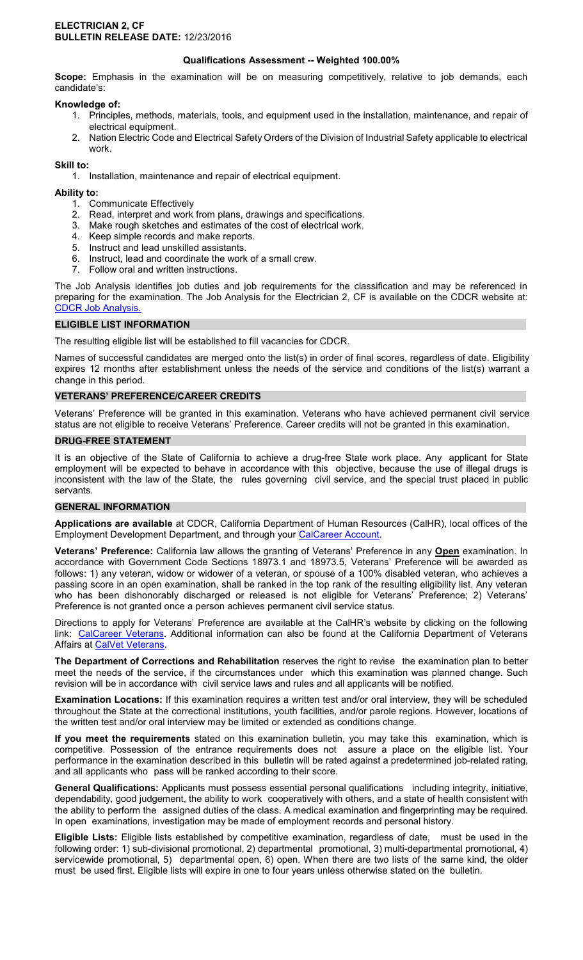#### **ELECTRICIAN 2, CF BULLETIN RELEASE DATE:** 12/23/2016

## **Qualifications Assessment -- Weighted 100.00%**

**Scope:** Emphasis in the examination will be on measuring competitively, relative to job demands, each candidate's:

### **Knowledge of:**

- 1. Principles, methods, materials, tools, and equipment used in the installation, maintenance, and repair of electrical equipment.
- 2. Nation Electric Code and Electrical Safety Orders of the Division of Industrial Safety applicable to electrical work.

**Skill to:** 

1. Installation, maintenance and repair of electrical equipment.

# **Ability to:**

- 1. Communicate Effectively
- 2. Read, interpret and work from plans, drawings and specifications.
- 3. Make rough sketches and estimates of the cost of electrical work.
- 4. Keep simple records and make reports.
- 5. Instruct and lead unskilled assistants.
- 6. Instruct, lead and coordinate the work of a small crew.
- 7. Follow oral and written instructions.

The Job Analysis identifies job duties and job requirements for the classification and may be referenced in preparing for the examination. The Job Analysis for the Electrician 2, CF is available on the CDCR website at: [CDCR Job Analysis.](https://www.cdcr.ca.gov/Career_Opportunities/HR/OPS/Exams/Analysis/index.html)

# **ELIGIBLE LIST INFORMATION**

The resulting eligible list will be established to fill vacancies for CDCR.

Names of successful candidates are merged onto the list(s) in order of final scores, regardless of date. Eligibility expires 12 months after establishment unless the needs of the service and conditions of the list(s) warrant a change in this period.

# **VETERANS' PREFERENCE/CAREER CREDITS**

Veterans' Preference will be granted in this examination. Veterans who have achieved permanent civil service status are not eligible to receive Veterans' Preference. Career credits will not be granted in this examination.

### **DRUG-FREE STATEMENT**

It is an objective of the State of California to achieve a drug-free State work place. Any applicant for State employment will be expected to behave in accordance with this objective, because the use of illegal drugs is inconsistent with the law of the State, the rules governing civil service, and the special trust placed in public servants.

### **GENERAL INFORMATION**

**Applications are available** at CDCR, California Department of Human Resources (CalHR), local offices of the Employment Development Department, and through your [CalCareer Account.](https://www.jobs.ca.gov/)

**Veterans' Preference:** California law allows the granting of Veterans' Preference in any **Open** examination. In accordance with Government Code Sections 18973.1 and 18973.5, Veterans' Preference will be awarded as follows: 1) any veteran, widow or widower of a veteran, or spouse of a 100% disabled veteran, who achieves a passing score in an open examination, shall be ranked in the top rank of the resulting eligibility list. Any veteran who has been dishonorably discharged or released is not eligible for Veterans' Preference; 2) Veterans' Preference is not granted once a person achieves permanent civil service status.

Directions to apply for Veterans' Preference are available at the CalHR's website by clicking on the following link: [CalCareer Veterans.](https://jobs.ca.gov/CalHRPublic/Landing/Veterans.aspx) Additional information can also be found at the California Department of Veterans Affairs at [CalVet Veterans.](http://www.calvet.ca.gov/veteran-services-benefits/employment)

**The Department of Corrections and Rehabilitation** reserves the right to revise the examination plan to better meet the needs of the service, if the circumstances under which this examination was planned change. Such revision will be in accordance with civil service laws and rules and all applicants will be notified.

**Examination Locations:** If this examination requires a written test and/or oral interview, they will be scheduled throughout the State at the correctional institutions, youth facilities, and/or parole regions. However, locations of the written test and/or oral interview may be limited or extended as conditions change.

**If you meet the requirements** stated on this examination bulletin, you may take this examination, which is competitive. Possession of the entrance requirements does not assure a place on the eligible list. Your performance in the examination described in this bulletin will be rated against a predetermined job-related rating, and all applicants who pass will be ranked according to their score.

**General Qualifications:** Applicants must possess essential personal qualifications including integrity, initiative, dependability, good judgement, the ability to work cooperatively with others, and a state of health consistent with the ability to perform the assigned duties of the class. A medical examination and fingerprinting may be required. In open examinations, investigation may be made of employment records and personal history.

**Eligible Lists:** Eligible lists established by competitive examination, regardless of date, must be used in the following order: 1) sub-divisional promotional, 2) departmental promotional, 3) multi-departmental promotional, 4) servicewide promotional, 5) departmental open, 6) open. When there are two lists of the same kind, the older must be used first. Eligible lists will expire in one to four years unless otherwise stated on the bulletin.